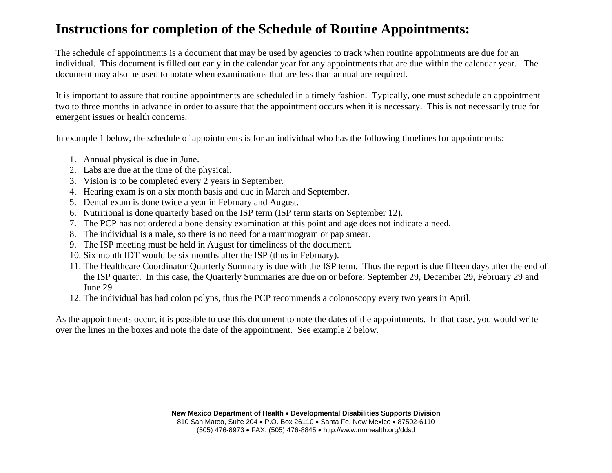# **Instructions for completion of the Schedule of Routine Appointments:**

The schedule of appointments is a document that may be used by agencies to track when routine appointments are due for an individual. This document is filled out early in the calendar year for any appointments that are due within the calendar year. The document may also be used to notate when examinations that are less than annual are required.

It is important to assure that routine appointments are scheduled in a timely fashion. Typically, one must schedule an appointment two to three months in advance in order to assure that the appointment occurs when it is necessary. This is not necessarily true for emergent issues or health concerns.

In example 1 below, the schedule of appointments is for an individual who has the following timelines for appointments:

- 1. Annual physical is due in June.
- 2. Labs are due at the time of the physical.
- 3. Vision is to be completed every 2 years in September.
- 4. Hearing exam is on a six month basis and due in March and September.
- 5. Dental exam is done twice a year in February and August.
- 6. Nutritional is done quarterly based on the ISP term (ISP term starts on September 12).
- 7. The PCP has not ordered a bone density examination at this point and age does not indicate a need.
- 8. The individual is a male, so there is no need for a mammogram or pap smear.
- 9. The ISP meeting must be held in August for timeliness of the document.
- 10. Six month IDT would be six months after the ISP (thus in February).
- 11. The Healthcare Coordinator Quarterly Summary is due with the ISP term. Thus the report is due fifteen days after the end of the ISP quarter. In this case, the Quarterly Summaries are due on or before: September 29, December 29, February 29 and June 29.
- 12. The individual has had colon polyps, thus the PCP recommends a colonoscopy every two years in April.

As the appointments occur, it is possible to use this document to note the dates of the appointments. In that case, you would write over the lines in the boxes and note the date of the appointment. See example 2 below.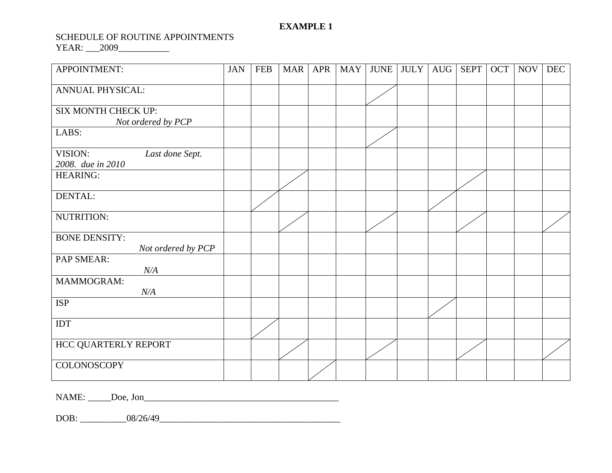## **EXAMPLE 1**

#### SCHEDULE OF ROUTINE APPOINTMENTS

YEAR: \_\_\_2009\_\_\_\_\_\_\_\_\_\_\_

| APPOINTMENT:                                    | <b>JAN</b> | <b>FEB</b> | <b>MAR</b> | <b>APR</b> | <b>MAY</b> | <b>JUNE</b> | JULY <sup>]</sup> | AUG | <b>SEPT</b> | OCT | <b>NOV</b> | <b>DEC</b> |
|-------------------------------------------------|------------|------------|------------|------------|------------|-------------|-------------------|-----|-------------|-----|------------|------------|
| <b>ANNUAL PHYSICAL:</b>                         |            |            |            |            |            |             |                   |     |             |     |            |            |
| SIX MONTH CHECK UP:<br>Not ordered by PCP       |            |            |            |            |            |             |                   |     |             |     |            |            |
| LABS:                                           |            |            |            |            |            |             |                   |     |             |     |            |            |
| VISION:<br>Last done Sept.<br>2008. due in 2010 |            |            |            |            |            |             |                   |     |             |     |            |            |
| <b>HEARING:</b>                                 |            |            |            |            |            |             |                   |     |             |     |            |            |
| DENTAL:                                         |            |            |            |            |            |             |                   |     |             |     |            |            |
| NUTRITION:                                      |            |            |            |            |            |             |                   |     |             |     |            |            |
| <b>BONE DENSITY:</b><br>Not ordered by PCP      |            |            |            |            |            |             |                   |     |             |     |            |            |
| PAP SMEAR:<br>N/A                               |            |            |            |            |            |             |                   |     |             |     |            |            |
| <b>MAMMOGRAM:</b><br>N/A                        |            |            |            |            |            |             |                   |     |             |     |            |            |
| <b>ISP</b>                                      |            |            |            |            |            |             |                   |     |             |     |            |            |
| IDT                                             |            |            |            |            |            |             |                   |     |             |     |            |            |
| HCC QUARTERLY REPORT                            |            |            |            |            |            |             |                   |     |             |     |            |            |
| <b>COLONOSCOPY</b>                              |            |            |            |            |            |             |                   |     |             |     |            |            |

NAME: \_\_\_\_\_Doe, Jon\_\_\_\_\_\_\_\_\_\_\_\_\_\_\_\_\_\_\_\_\_\_\_\_\_\_\_\_\_\_\_\_\_\_\_\_\_\_\_\_\_\_

DOB: \_\_\_\_\_\_\_\_\_\_08/26/49\_\_\_\_\_\_\_\_\_\_\_\_\_\_\_\_\_\_\_\_\_\_\_\_\_\_\_\_\_\_\_\_\_\_\_\_\_\_\_